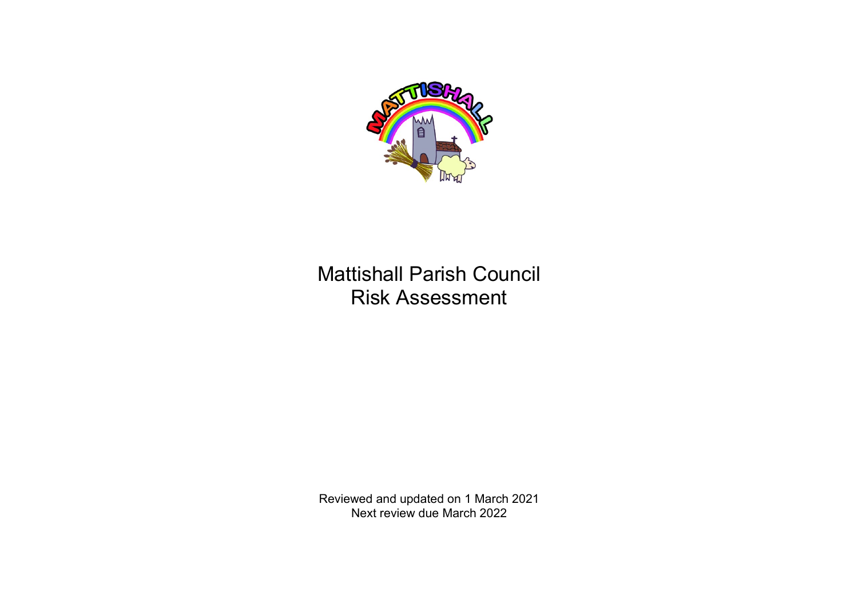

## Mattishall Parish Council Risk Assessment

Reviewed and updated on 1 March 2021 Next review due March 2022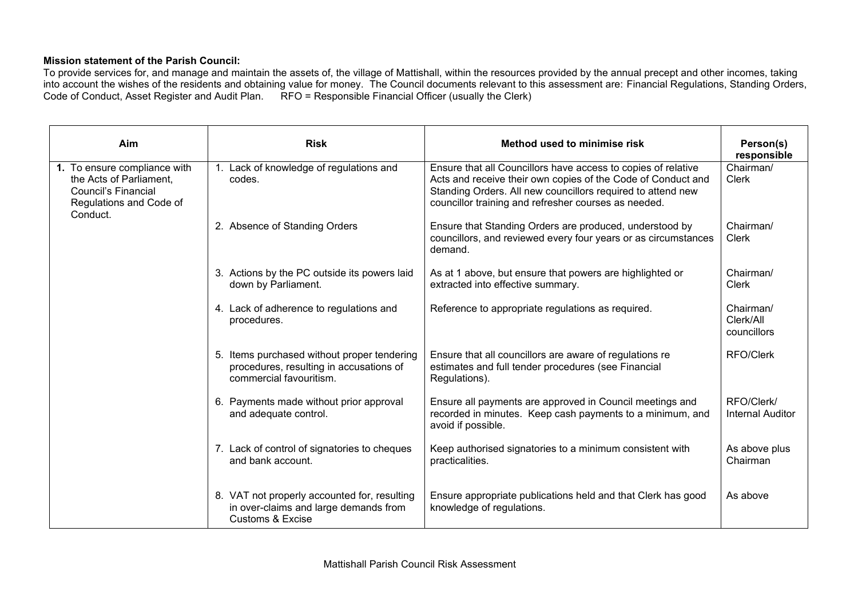## **Mission statement of the Parish Council:**

To provide services for, and manage and maintain the assets of, the village of Mattishall, within the resources provided by the annual precept and other incomes, taking into account the wishes of the residents and obtaining value for money. The Council documents relevant to this assessment are: Financial Regulations, Standing Orders, Code of Conduct, Asset Register and Audit Plan.  $\overrightarrow{RFO}$  = Responsible Financial Officer (usually the Clerk)

| Aim                                                                                                                          | <b>Risk</b>                                                                                                          | Method used to minimise risk                                                                                                                                                                                                                         | Person(s)<br>responsible              |
|------------------------------------------------------------------------------------------------------------------------------|----------------------------------------------------------------------------------------------------------------------|------------------------------------------------------------------------------------------------------------------------------------------------------------------------------------------------------------------------------------------------------|---------------------------------------|
| 1. To ensure compliance with<br>the Acts of Parliament,<br><b>Council's Financial</b><br>Regulations and Code of<br>Conduct. | 1. Lack of knowledge of regulations and<br>codes.                                                                    | Ensure that all Councillors have access to copies of relative<br>Acts and receive their own copies of the Code of Conduct and<br>Standing Orders. All new councillors required to attend new<br>councillor training and refresher courses as needed. | Chairman/<br><b>Clerk</b>             |
|                                                                                                                              | 2. Absence of Standing Orders                                                                                        | Ensure that Standing Orders are produced, understood by<br>councillors, and reviewed every four years or as circumstances<br>demand.                                                                                                                 | Chairman/<br><b>Clerk</b>             |
|                                                                                                                              | 3. Actions by the PC outside its powers laid<br>down by Parliament.                                                  | As at 1 above, but ensure that powers are highlighted or<br>extracted into effective summary.                                                                                                                                                        | Chairman/<br><b>Clerk</b>             |
|                                                                                                                              | 4. Lack of adherence to regulations and<br>procedures.                                                               | Reference to appropriate regulations as required.                                                                                                                                                                                                    | Chairman/<br>Clerk/All<br>councillors |
|                                                                                                                              | 5. Items purchased without proper tendering<br>procedures, resulting in accusations of<br>commercial favouritism.    | Ensure that all councillors are aware of regulations re<br>estimates and full tender procedures (see Financial<br>Regulations).                                                                                                                      | <b>RFO/Clerk</b>                      |
|                                                                                                                              | 6. Payments made without prior approval<br>and adequate control.                                                     | Ensure all payments are approved in Council meetings and<br>recorded in minutes. Keep cash payments to a minimum, and<br>avoid if possible.                                                                                                          | RFO/Clerk/<br><b>Internal Auditor</b> |
|                                                                                                                              | 7. Lack of control of signatories to cheques<br>and bank account.                                                    | Keep authorised signatories to a minimum consistent with<br>practicalities.                                                                                                                                                                          | As above plus<br>Chairman             |
|                                                                                                                              | 8. VAT not properly accounted for, resulting<br>in over-claims and large demands from<br><b>Customs &amp; Excise</b> | Ensure appropriate publications held and that Clerk has good<br>knowledge of regulations.                                                                                                                                                            | As above                              |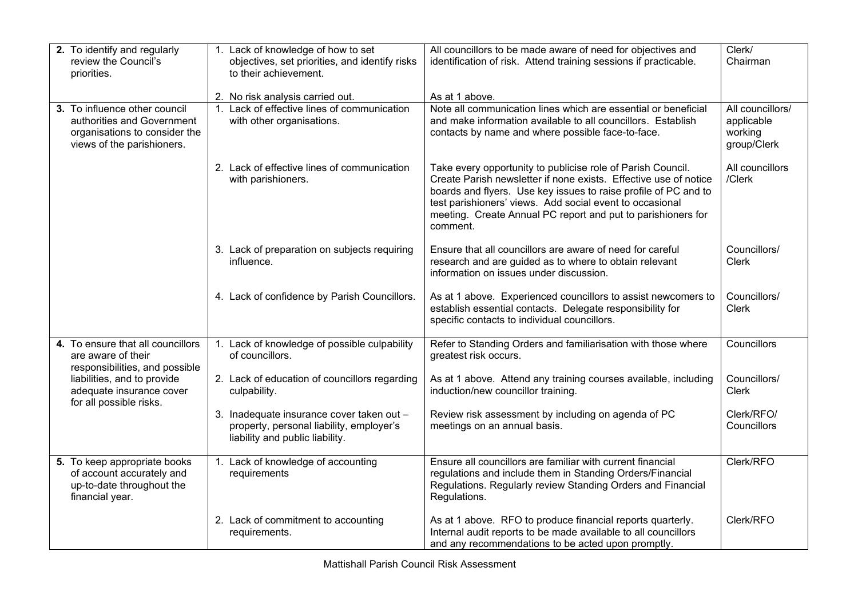| 2. To identify and regularly<br>review the Council's<br>priorities.                                                                                                             | 1. Lack of knowledge of how to set<br>objectives, set priorities, and identify risks<br>to their achievement.            | All councillors to be made aware of need for objectives and<br>identification of risk. Attend training sessions if practicable.                                                                                                                                                                                                            | Clerk/<br>Chairman                                       |
|---------------------------------------------------------------------------------------------------------------------------------------------------------------------------------|--------------------------------------------------------------------------------------------------------------------------|--------------------------------------------------------------------------------------------------------------------------------------------------------------------------------------------------------------------------------------------------------------------------------------------------------------------------------------------|----------------------------------------------------------|
| 3. To influence other council<br>authorities and Government<br>organisations to consider the<br>views of the parishioners.                                                      | 2. No risk analysis carried out.<br>1. Lack of effective lines of communication<br>with other organisations.             | As at 1 above.<br>Note all communication lines which are essential or beneficial<br>and make information available to all councillors. Establish<br>contacts by name and where possible face-to-face.                                                                                                                                      | All councillors/<br>applicable<br>working<br>group/Clerk |
|                                                                                                                                                                                 | 2. Lack of effective lines of communication<br>with parishioners.                                                        | Take every opportunity to publicise role of Parish Council.<br>Create Parish newsletter if none exists. Effective use of notice<br>boards and flyers. Use key issues to raise profile of PC and to<br>test parishioners' views. Add social event to occasional<br>meeting. Create Annual PC report and put to parishioners for<br>comment. | All councillors<br>/Clerk                                |
|                                                                                                                                                                                 | 3. Lack of preparation on subjects requiring<br>influence.                                                               | Ensure that all councillors are aware of need for careful<br>research and are guided as to where to obtain relevant<br>information on issues under discussion.                                                                                                                                                                             | Councillors/<br>Clerk                                    |
|                                                                                                                                                                                 | 4. Lack of confidence by Parish Councillors.                                                                             | As at 1 above. Experienced councillors to assist newcomers to<br>establish essential contacts. Delegate responsibility for<br>specific contacts to individual councillors.                                                                                                                                                                 | Councillors/<br>Clerk                                    |
| 4. To ensure that all councillors<br>are aware of their<br>responsibilities, and possible<br>liabilities, and to provide<br>adequate insurance cover<br>for all possible risks. | 1. Lack of knowledge of possible culpability<br>of councillors.                                                          | Refer to Standing Orders and familiarisation with those where<br>greatest risk occurs.                                                                                                                                                                                                                                                     | Councillors                                              |
|                                                                                                                                                                                 | 2. Lack of education of councillors regarding<br>culpability.                                                            | As at 1 above. Attend any training courses available, including<br>induction/new councillor training.                                                                                                                                                                                                                                      | Councillors/<br><b>Clerk</b>                             |
|                                                                                                                                                                                 | 3. Inadequate insurance cover taken out -<br>property, personal liability, employer's<br>liability and public liability. | Review risk assessment by including on agenda of PC<br>meetings on an annual basis.                                                                                                                                                                                                                                                        | Clerk/RFO/<br>Councillors                                |
| 5. To keep appropriate books<br>of account accurately and<br>up-to-date throughout the<br>financial year.                                                                       | 1. Lack of knowledge of accounting<br>requirements                                                                       | Ensure all councillors are familiar with current financial<br>regulations and include them in Standing Orders/Financial<br>Regulations. Regularly review Standing Orders and Financial<br>Regulations.                                                                                                                                     | Clerk/RFO                                                |
|                                                                                                                                                                                 | 2. Lack of commitment to accounting<br>requirements.                                                                     | As at 1 above. RFO to produce financial reports quarterly.<br>Internal audit reports to be made available to all councillors<br>and any recommendations to be acted upon promptly.                                                                                                                                                         | Clerk/RFO                                                |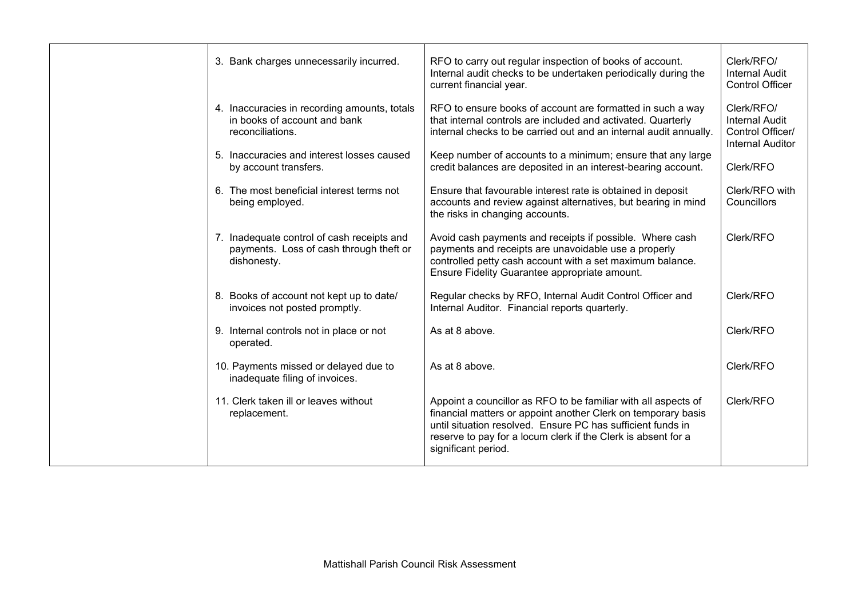| 3. Bank charges unnecessarily incurred.                                                              | RFO to carry out regular inspection of books of account.<br>Internal audit checks to be undertaken periodically during the<br>current financial year.                                                                                                                                  | Clerk/RFO/<br><b>Internal Audit</b><br><b>Control Officer</b>                      |
|------------------------------------------------------------------------------------------------------|----------------------------------------------------------------------------------------------------------------------------------------------------------------------------------------------------------------------------------------------------------------------------------------|------------------------------------------------------------------------------------|
| 4. Inaccuracies in recording amounts, totals<br>in books of account and bank<br>reconciliations.     | RFO to ensure books of account are formatted in such a way<br>that internal controls are included and activated. Quarterly<br>internal checks to be carried out and an internal audit annually.                                                                                        | Clerk/RFO/<br><b>Internal Audit</b><br>Control Officer/<br><b>Internal Auditor</b> |
| 5. Inaccuracies and interest losses caused<br>by account transfers.                                  | Keep number of accounts to a minimum; ensure that any large<br>credit balances are deposited in an interest-bearing account.                                                                                                                                                           | Clerk/RFO                                                                          |
| 6. The most beneficial interest terms not<br>being employed.                                         | Ensure that favourable interest rate is obtained in deposit<br>accounts and review against alternatives, but bearing in mind<br>the risks in changing accounts.                                                                                                                        | Clerk/RFO with<br>Councillors                                                      |
| 7. Inadequate control of cash receipts and<br>payments. Loss of cash through theft or<br>dishonesty. | Avoid cash payments and receipts if possible. Where cash<br>payments and receipts are unavoidable use a properly<br>controlled petty cash account with a set maximum balance.<br>Ensure Fidelity Guarantee appropriate amount.                                                         | Clerk/RFO                                                                          |
| 8. Books of account not kept up to date/<br>invoices not posted promptly.                            | Regular checks by RFO, Internal Audit Control Officer and<br>Internal Auditor. Financial reports quarterly.                                                                                                                                                                            | Clerk/RFO                                                                          |
| 9. Internal controls not in place or not<br>operated.                                                | As at 8 above.                                                                                                                                                                                                                                                                         | Clerk/RFO                                                                          |
| 10. Payments missed or delayed due to<br>inadequate filing of invoices.                              | As at 8 above.                                                                                                                                                                                                                                                                         | Clerk/RFO                                                                          |
| 11. Clerk taken ill or leaves without<br>replacement.                                                | Appoint a councillor as RFO to be familiar with all aspects of<br>financial matters or appoint another Clerk on temporary basis<br>until situation resolved. Ensure PC has sufficient funds in<br>reserve to pay for a locum clerk if the Clerk is absent for a<br>significant period. | Clerk/RFO                                                                          |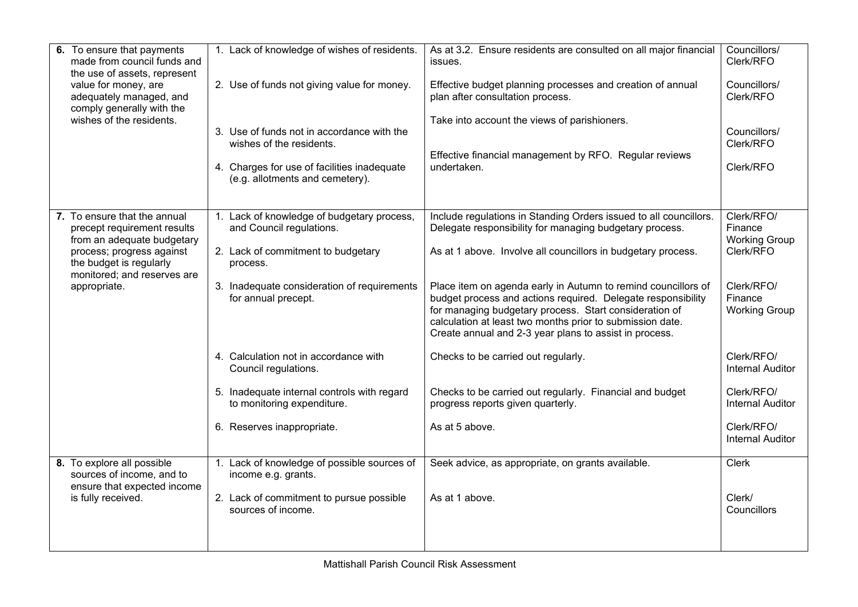| 6. To ensure that payments<br>made from council funds and<br>the use of assets, represent<br>value for money, are<br>adequately managed, and<br>comply generally with the<br>wishes of the residents. | 1. Lack of knowledge of wishes of residents.<br>2. Use of funds not giving value for money.<br>3. Use of funds not in accordance with the<br>wishes of the residents.<br>4. Charges for use of facilities inadequate<br>(e.g. allotments and cemetery).                                                                                                                    | As at 3.2. Ensure residents are consulted on all major financial<br>issues.<br>Effective budget planning processes and creation of annual<br>plan after consultation process.<br>Take into account the views of parishioners.<br>Effective financial management by RFO. Regular reviews<br>undertaken.                                                                                                                                                                                                                                                                                                                                                                   | Councillors/<br>Clerk/RFO<br>Councillors/<br>Clerk/RFO<br>Councillors/<br>Clerk/RFO<br>Clerk/RFO                                                                                                                                       |
|-------------------------------------------------------------------------------------------------------------------------------------------------------------------------------------------------------|----------------------------------------------------------------------------------------------------------------------------------------------------------------------------------------------------------------------------------------------------------------------------------------------------------------------------------------------------------------------------|--------------------------------------------------------------------------------------------------------------------------------------------------------------------------------------------------------------------------------------------------------------------------------------------------------------------------------------------------------------------------------------------------------------------------------------------------------------------------------------------------------------------------------------------------------------------------------------------------------------------------------------------------------------------------|----------------------------------------------------------------------------------------------------------------------------------------------------------------------------------------------------------------------------------------|
| 7. To ensure that the annual<br>precept requirement results<br>from an adequate budgetary<br>process; progress against<br>the budget is regularly<br>monitored; and reserves are<br>appropriate.      | 1. Lack of knowledge of budgetary process,<br>and Council regulations.<br>2. Lack of commitment to budgetary<br>process.<br>3. Inadequate consideration of requirements<br>for annual precept.<br>4. Calculation not in accordance with<br>Council regulations.<br>5. Inadequate internal controls with regard<br>to monitoring expenditure.<br>6. Reserves inappropriate. | Include regulations in Standing Orders issued to all councillors.<br>Delegate responsibility for managing budgetary process.<br>As at 1 above. Involve all councillors in budgetary process.<br>Place item on agenda early in Autumn to remind councillors of<br>budget process and actions required. Delegate responsibility<br>for managing budgetary process. Start consideration of<br>calculation at least two months prior to submission date.<br>Create annual and 2-3 year plans to assist in process.<br>Checks to be carried out regularly.<br>Checks to be carried out regularly. Financial and budget<br>progress reports given quarterly.<br>As at 5 above. | Clerk/RFO/<br>Finance<br><b>Working Group</b><br>Clerk/RFO<br>Clerk/RFO/<br>Finance<br><b>Working Group</b><br>Clerk/RFO/<br><b>Internal Auditor</b><br>Clerk/RFO/<br><b>Internal Auditor</b><br>Clerk/RFO/<br><b>Internal Auditor</b> |
| 8. To explore all possible<br>sources of income, and to<br>ensure that expected income<br>is fully received.                                                                                          | 1. Lack of knowledge of possible sources of<br>income e.g. grants.<br>2. Lack of commitment to pursue possible<br>sources of income.                                                                                                                                                                                                                                       | Seek advice, as appropriate, on grants available.<br>As at 1 above.                                                                                                                                                                                                                                                                                                                                                                                                                                                                                                                                                                                                      | <b>Clerk</b><br>Clerk/<br>Councillors                                                                                                                                                                                                  |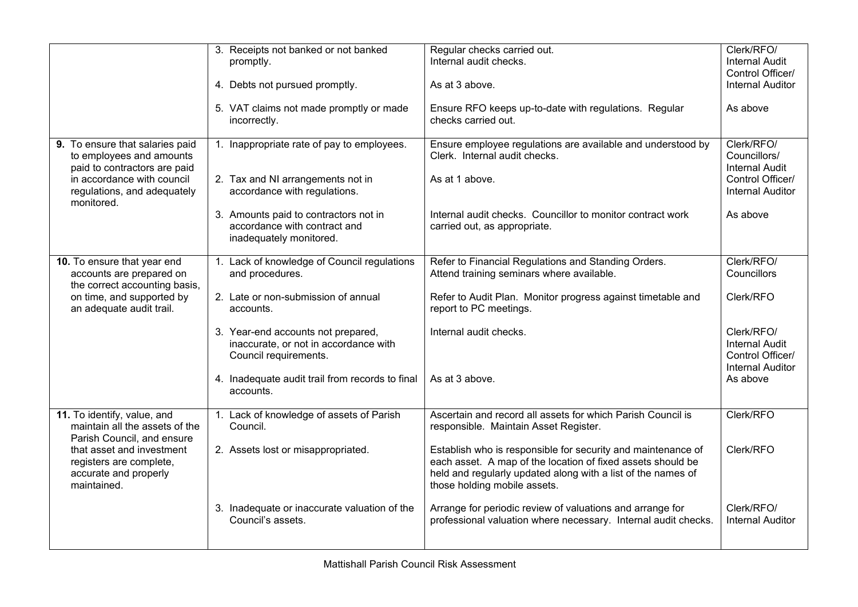|                                                                                                                                                                                             | 3. Receipts not banked or not banked                                                                 | Regular checks carried out.                                                                                                                                                                                                 | Clerk/RFO/                                                                         |
|---------------------------------------------------------------------------------------------------------------------------------------------------------------------------------------------|------------------------------------------------------------------------------------------------------|-----------------------------------------------------------------------------------------------------------------------------------------------------------------------------------------------------------------------------|------------------------------------------------------------------------------------|
|                                                                                                                                                                                             | promptly.                                                                                            | Internal audit checks.                                                                                                                                                                                                      | <b>Internal Audit</b>                                                              |
|                                                                                                                                                                                             |                                                                                                      |                                                                                                                                                                                                                             | Control Officer/                                                                   |
|                                                                                                                                                                                             | 4. Debts not pursued promptly.                                                                       | As at 3 above.                                                                                                                                                                                                              | <b>Internal Auditor</b>                                                            |
|                                                                                                                                                                                             | 5. VAT claims not made promptly or made<br>incorrectly.                                              | Ensure RFO keeps up-to-date with regulations. Regular<br>checks carried out.                                                                                                                                                | As above                                                                           |
| 9. To ensure that salaries paid<br>to employees and amounts<br>paid to contractors are paid                                                                                                 | 1. Inappropriate rate of pay to employees.                                                           | Ensure employee regulations are available and understood by<br>Clerk. Internal audit checks.                                                                                                                                | Clerk/RFO/<br>Councillors/<br><b>Internal Audit</b>                                |
| in accordance with council<br>regulations, and adequately<br>monitored.                                                                                                                     | 2. Tax and NI arrangements not in<br>accordance with regulations.                                    | As at 1 above.                                                                                                                                                                                                              | Control Officer/<br><b>Internal Auditor</b>                                        |
|                                                                                                                                                                                             | 3. Amounts paid to contractors not in<br>accordance with contract and<br>inadequately monitored.     | Internal audit checks. Councillor to monitor contract work<br>carried out, as appropriate.                                                                                                                                  | As above                                                                           |
| 10. To ensure that year end<br>accounts are prepared on<br>the correct accounting basis,                                                                                                    | 1. Lack of knowledge of Council regulations<br>and procedures.                                       | Refer to Financial Regulations and Standing Orders.<br>Attend training seminars where available.                                                                                                                            | Clerk/RFO/<br>Councillors                                                          |
| on time, and supported by<br>an adequate audit trail.                                                                                                                                       | 2. Late or non-submission of annual<br>accounts.                                                     | Refer to Audit Plan. Monitor progress against timetable and<br>report to PC meetings.                                                                                                                                       | Clerk/RFO                                                                          |
|                                                                                                                                                                                             | 3. Year-end accounts not prepared,<br>inaccurate, or not in accordance with<br>Council requirements. | Internal audit checks.                                                                                                                                                                                                      | Clerk/RFO/<br><b>Internal Audit</b><br>Control Officer/<br><b>Internal Auditor</b> |
|                                                                                                                                                                                             | 4. Inadequate audit trail from records to final<br>accounts.                                         | As at 3 above.                                                                                                                                                                                                              | As above                                                                           |
| 11. To identify, value, and<br>maintain all the assets of the<br>Parish Council, and ensure<br>that asset and investment<br>registers are complete,<br>accurate and properly<br>maintained. | 1. Lack of knowledge of assets of Parish<br>Council.                                                 | Ascertain and record all assets for which Parish Council is<br>responsible. Maintain Asset Register.                                                                                                                        | Clerk/RFO                                                                          |
|                                                                                                                                                                                             | 2. Assets lost or misappropriated.                                                                   | Establish who is responsible for security and maintenance of<br>each asset. A map of the location of fixed assets should be<br>held and regularly updated along with a list of the names of<br>those holding mobile assets. | Clerk/RFO                                                                          |
|                                                                                                                                                                                             | 3. Inadequate or inaccurate valuation of the<br>Council's assets.                                    | Arrange for periodic review of valuations and arrange for<br>professional valuation where necessary. Internal audit checks.                                                                                                 | Clerk/RFO/<br><b>Internal Auditor</b>                                              |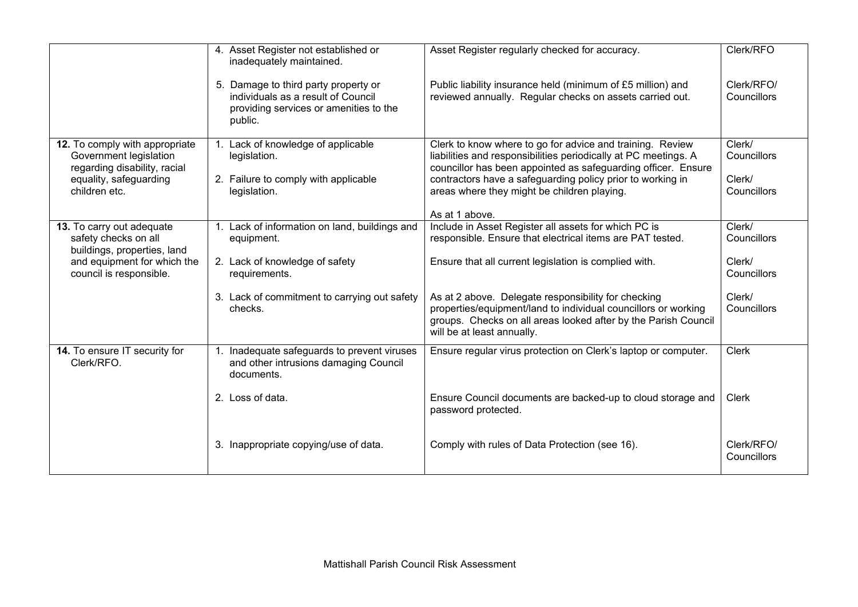|                                                                                                                                            | 4. Asset Register not established or<br>inadequately maintained.                                                                | Asset Register regularly checked for accuracy.                                                                                                                                                                        | Clerk/RFO                 |
|--------------------------------------------------------------------------------------------------------------------------------------------|---------------------------------------------------------------------------------------------------------------------------------|-----------------------------------------------------------------------------------------------------------------------------------------------------------------------------------------------------------------------|---------------------------|
|                                                                                                                                            | 5. Damage to third party property or<br>individuals as a result of Council<br>providing services or amenities to the<br>public. | Public liability insurance held (minimum of £5 million) and<br>reviewed annually. Regular checks on assets carried out.                                                                                               | Clerk/RFO/<br>Councillors |
| 12. To comply with appropriate<br>Government legislation<br>regarding disability, racial                                                   | 1. Lack of knowledge of applicable<br>legislation.                                                                              | Clerk to know where to go for advice and training. Review<br>liabilities and responsibilities periodically at PC meetings. A<br>councillor has been appointed as safeguarding officer. Ensure                         | Clerk/<br>Councillors     |
| equality, safeguarding<br>children etc.                                                                                                    | 2. Failure to comply with applicable<br>legislation.                                                                            | contractors have a safeguarding policy prior to working in<br>areas where they might be children playing.                                                                                                             | Clerk/<br>Councillors     |
|                                                                                                                                            |                                                                                                                                 | As at 1 above.                                                                                                                                                                                                        |                           |
| 13. To carry out adequate<br>safety checks on all<br>buildings, properties, land<br>and equipment for which the<br>council is responsible. | 1. Lack of information on land, buildings and<br>equipment.                                                                     | Include in Asset Register all assets for which PC is<br>responsible. Ensure that electrical items are PAT tested.                                                                                                     | Clerk/<br>Councillors     |
|                                                                                                                                            | 2. Lack of knowledge of safety<br>requirements.                                                                                 | Ensure that all current legislation is complied with.                                                                                                                                                                 | Clerk/<br>Councillors     |
|                                                                                                                                            | 3. Lack of commitment to carrying out safety<br>checks.                                                                         | As at 2 above. Delegate responsibility for checking<br>properties/equipment/land to individual councillors or working<br>groups. Checks on all areas looked after by the Parish Council<br>will be at least annually. | Clerk/<br>Councillors     |
| 14. To ensure IT security for<br>Clerk/RFO.                                                                                                | 1. Inadequate safeguards to prevent viruses<br>and other intrusions damaging Council<br>documents.                              | Ensure regular virus protection on Clerk's laptop or computer.                                                                                                                                                        | <b>Clerk</b>              |
|                                                                                                                                            | 2. Loss of data.                                                                                                                | Ensure Council documents are backed-up to cloud storage and<br>password protected.                                                                                                                                    | <b>Clerk</b>              |
|                                                                                                                                            | 3. Inappropriate copying/use of data.                                                                                           | Comply with rules of Data Protection (see 16).                                                                                                                                                                        | Clerk/RFO/<br>Councillors |